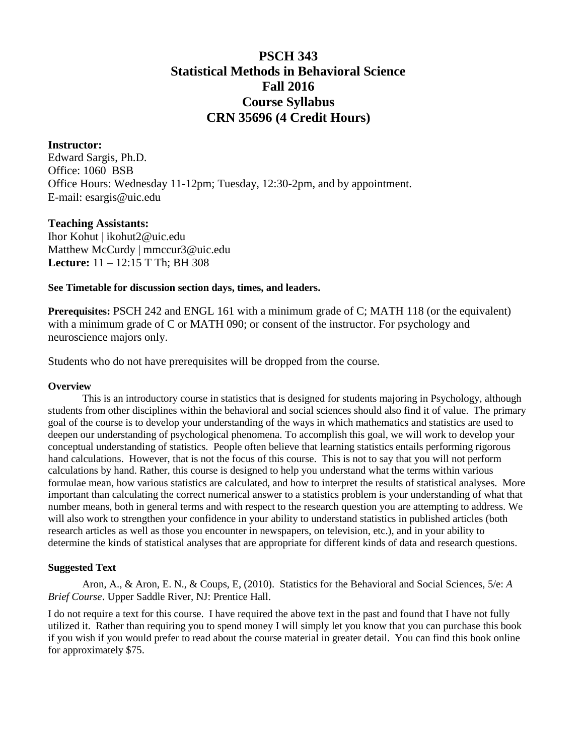# **PSCH 343 Statistical Methods in Behavioral Science Fall 2016 Course Syllabus CRN 35696 (4 Credit Hours)**

## **Instructor:**

Edward Sargis, Ph.D. Office: 1060 BSB Office Hours: Wednesday 11-12pm; Tuesday, 12:30-2pm, and by appointment. E-mail: [esargis@uic.edu](mailto:esargis@uic.edu)

# **Teaching Assistants:**

Ihor Kohut | ikohut2@uic.edu Matthew McCurdy | mmccur3@uic.edu **Lecture:** 11 – 12:15 T Th; BH 308

## **See Timetable for discussion section days, times, and leaders.**

**Prerequisites:** PSCH 242 and ENGL 161 with a minimum grade of C; MATH 118 (or the equivalent) with a minimum grade of C or MATH 090; or consent of the instructor. For psychology and neuroscience majors only.

Students who do not have prerequisites will be dropped from the course.

## **Overview**

This is an introductory course in statistics that is designed for students majoring in Psychology, although students from other disciplines within the behavioral and social sciences should also find it of value. The primary goal of the course is to develop your understanding of the ways in which mathematics and statistics are used to deepen our understanding of psychological phenomena. To accomplish this goal, we will work to develop your conceptual understanding of statistics. People often believe that learning statistics entails performing rigorous hand calculations. However, that is not the focus of this course. This is not to say that you will not perform calculations by hand. Rather, this course is designed to help you understand what the terms within various formulae mean, how various statistics are calculated, and how to interpret the results of statistical analyses. More important than calculating the correct numerical answer to a statistics problem is your understanding of what that number means, both in general terms and with respect to the research question you are attempting to address. We will also work to strengthen your confidence in your ability to understand statistics in published articles (both research articles as well as those you encounter in newspapers, on television, etc.), and in your ability to determine the kinds of statistical analyses that are appropriate for different kinds of data and research questions.

## **Suggested Text**

Aron, A., & Aron, E. N., & Coups, E, (2010). Statistics for the Behavioral and Social Sciences, 5/e: *A Brief Course*. Upper Saddle River, NJ: Prentice Hall.

I do not require a text for this course. I have required the above text in the past and found that I have not fully utilized it. Rather than requiring you to spend money I will simply let you know that you can purchase this book if you wish if you would prefer to read about the course material in greater detail. You can find this book online for approximately \$75.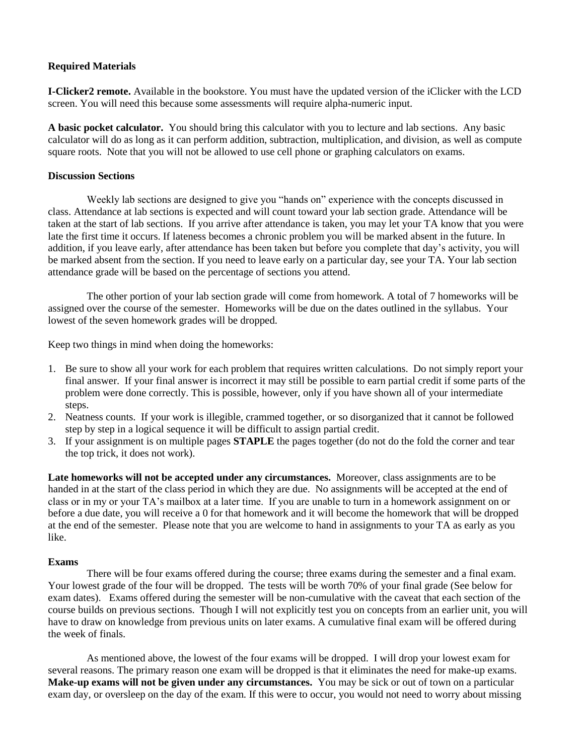# **Required Materials**

**I-Clicker2 remote.** Available in the bookstore. You must have the updated version of the iClicker with the LCD screen. You will need this because some assessments will require alpha-numeric input.

**A basic pocket calculator.** You should bring this calculator with you to lecture and lab sections. Any basic calculator will do as long as it can perform addition, subtraction, multiplication, and division, as well as compute square roots. Note that you will not be allowed to use cell phone or graphing calculators on exams.

# **Discussion Sections**

Weekly lab sections are designed to give you "hands on" experience with the concepts discussed in class. Attendance at lab sections is expected and will count toward your lab section grade. Attendance will be taken at the start of lab sections. If you arrive after attendance is taken, you may let your TA know that you were late the first time it occurs. If lateness becomes a chronic problem you will be marked absent in the future. In addition, if you leave early, after attendance has been taken but before you complete that day's activity, you will be marked absent from the section. If you need to leave early on a particular day, see your TA. Your lab section attendance grade will be based on the percentage of sections you attend.

The other portion of your lab section grade will come from homework. A total of 7 homeworks will be assigned over the course of the semester. Homeworks will be due on the dates outlined in the syllabus. Your lowest of the seven homework grades will be dropped.

Keep two things in mind when doing the homeworks:

- 1. Be sure to show all your work for each problem that requires written calculations. Do not simply report your final answer. If your final answer is incorrect it may still be possible to earn partial credit if some parts of the problem were done correctly. This is possible, however, only if you have shown all of your intermediate steps.
- 2. Neatness counts. If your work is illegible, crammed together, or so disorganized that it cannot be followed step by step in a logical sequence it will be difficult to assign partial credit.
- 3. If your assignment is on multiple pages **STAPLE** the pages together (do not do the fold the corner and tear the top trick, it does not work).

**Late homeworks will not be accepted under any circumstances.** Moreover, class assignments are to be handed in at the start of the class period in which they are due. No assignments will be accepted at the end of class or in my or your TA's mailbox at a later time. If you are unable to turn in a homework assignment on or before a due date, you will receive a 0 for that homework and it will become the homework that will be dropped at the end of the semester. Please note that you are welcome to hand in assignments to your TA as early as you like.

## **Exams**

There will be four exams offered during the course; three exams during the semester and a final exam. Your lowest grade of the four will be dropped. The tests will be worth 70% of your final grade (See below for exam dates). Exams offered during the semester will be non-cumulative with the caveat that each section of the course builds on previous sections. Though I will not explicitly test you on concepts from an earlier unit, you will have to draw on knowledge from previous units on later exams. A cumulative final exam will be offered during the week of finals.

As mentioned above, the lowest of the four exams will be dropped. I will drop your lowest exam for several reasons. The primary reason one exam will be dropped is that it eliminates the need for make-up exams. **Make-up exams will not be given under any circumstances.** You may be sick or out of town on a particular exam day, or oversleep on the day of the exam. If this were to occur, you would not need to worry about missing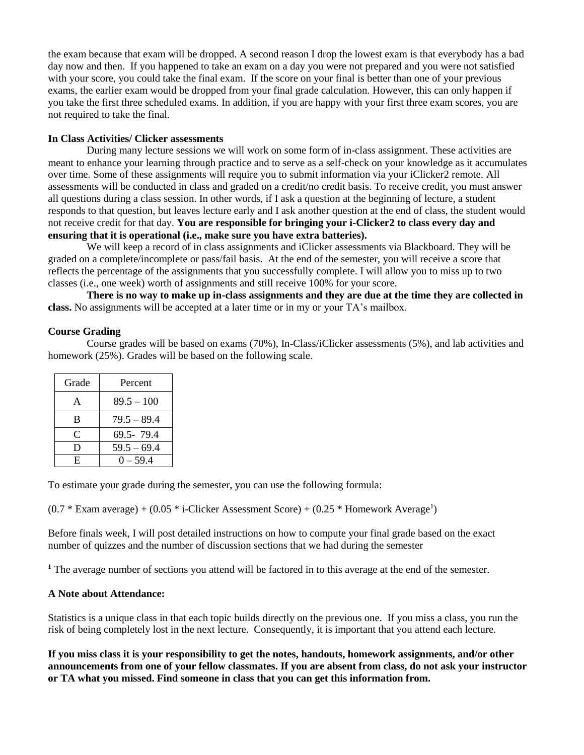the exam because that exam will be dropped. A second reason I drop the lowest exam is that everybody has a bad day now and then. If you happened to take an exam on a day you were not prepared and you were not satisfied with your score, you could take the final exam. If the score on your final is better than one of your previous exams, the earlier exam would be dropped from your final grade calculation. However, this can only happen if you take the first three scheduled exams. In addition, if you are happy with your first three exam scores, you are not required to take the final.

#### **In Class Activities/ Clicker assessments**

During many lecture sessions we will work on some form of in-class assignment. These activities are meant to enhance your learning through practice and to serve as a self-check on your knowledge as it accumulates over time. Some of these assignments will require you to submit information via your iClicker2 remote. All assessments will be conducted in class and graded on a credit/no credit basis. To receive credit, you must answer all questions during a class session. In other words, if I ask a question at the beginning of lecture, a student responds to that question, but leaves lecture early and I ask another question at the end of class, the student would not receive credit for that day. **You are responsible for bringing your i-Clicker2 to class every day and ensuring that it is operational (i.e., make sure you have extra batteries).**

We will keep a record of in class assignments and iClicker assessments via Blackboard. They will be graded on a complete/incomplete or pass/fail basis. At the end of the semester, you will receive a score that reflects the percentage of the assignments that you successfully complete. I will allow you to miss up to two classes (i.e., one week) worth of assignments and still receive 100% for your score.

**There is no way to make up in-class assignments and they are due at the time they are collected in class.** No assignments will be accepted at a later time or in my or your TA's mailbox.

#### **Course Grading**

Course grades will be based on exams (70%), In-Class/iClicker assessments (5%), and lab activities and homework (25%). Grades will be based on the following scale.

| Grade | Percent       |
|-------|---------------|
| A     | $89.5 - 100$  |
| B     | $79.5 - 89.4$ |
| C     | 69.5-79.4     |
| D     | $59.5 - 69.4$ |
| E.    | $0 - 59.4$    |

To estimate your grade during the semester, you can use the following formula:

 $(0.7 * Exam average) + (0.05 * i-Clicker Assessment Score) + (0.25 * Homework Average<sup>1</sup>)$ 

Before finals week, I will post detailed instructions on how to compute your final grade based on the exact number of quizzes and the number of discussion sections that we had during the semester

**<sup>1</sup>** The average number of sections you attend will be factored in to this average at the end of the semester.

#### **A Note about Attendance:**

Statistics is a unique class in that each topic builds directly on the previous one. If you miss a class, you run the risk of being completely lost in the next lecture. Consequently, it is important that you attend each lecture.

**If you miss class it is your responsibility to get the notes, handouts, homework assignments, and/or other announcements from one of your fellow classmates. If you are absent from class, do not ask your instructor or TA what you missed. Find someone in class that you can get this information from.**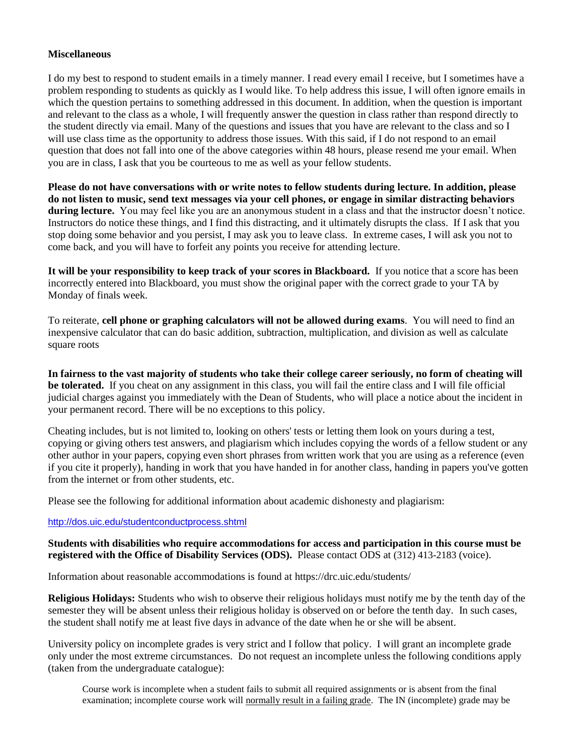## **Miscellaneous**

I do my best to respond to student emails in a timely manner. I read every email I receive, but I sometimes have a problem responding to students as quickly as I would like. To help address this issue, I will often ignore emails in which the question pertains to something addressed in this document. In addition, when the question is important and relevant to the class as a whole, I will frequently answer the question in class rather than respond directly to the student directly via email. Many of the questions and issues that you have are relevant to the class and so I will use class time as the opportunity to address those issues. With this said, if I do not respond to an email question that does not fall into one of the above categories within 48 hours, please resend me your email. When you are in class, I ask that you be courteous to me as well as your fellow students.

**Please do not have conversations with or write notes to fellow students during lecture. In addition, please do not listen to music, send text messages via your cell phones, or engage in similar distracting behaviors during lecture.** You may feel like you are an anonymous student in a class and that the instructor doesn't notice. Instructors do notice these things, and I find this distracting, and it ultimately disrupts the class. If I ask that you stop doing some behavior and you persist, I may ask you to leave class. In extreme cases, I will ask you not to come back, and you will have to forfeit any points you receive for attending lecture.

**It will be your responsibility to keep track of your scores in Blackboard.** If you notice that a score has been incorrectly entered into Blackboard, you must show the original paper with the correct grade to your TA by Monday of finals week.

To reiterate, **cell phone or graphing calculators will not be allowed during exams**. You will need to find an inexpensive calculator that can do basic addition, subtraction, multiplication, and division as well as calculate square roots

**In fairness to the vast majority of students who take their college career seriously, no form of cheating will be tolerated.** If you cheat on any assignment in this class, you will fail the entire class and I will file official judicial charges against you immediately with the Dean of Students, who will place a notice about the incident in your permanent record. There will be no exceptions to this policy.

Cheating includes, but is not limited to, looking on others' tests or letting them look on yours during a test, copying or giving others test answers, and plagiarism which includes copying the words of a fellow student or any other author in your papers, copying even short phrases from written work that you are using as a reference (even if you cite it properly), handing in work that you have handed in for another class, handing in papers you've gotten from the internet or from other students, etc.

Please see the following for additional information about academic dishonesty and plagiarism:

#### <http://dos.uic.edu/studentconductprocess.shtml>

#### **Students with disabilities who require accommodations for access and participation in this course must be registered with the Office of Disability Services (ODS).** Please contact ODS at (312) 413-2183 (voice).

Information about reasonable accommodations is found at https://drc.uic.edu/students/

**Religious Holidays:** Students who wish to observe their religious holidays must notify me by the tenth day of the semester they will be absent unless their religious holiday is observed on or before the tenth day. In such cases, the student shall notify me at least five days in advance of the date when he or she will be absent.

University policy on incomplete grades is very strict and I follow that policy. I will grant an incomplete grade only under the most extreme circumstances. Do not request an incomplete unless the following conditions apply (taken from the undergraduate catalogue):

Course work is incomplete when a student fails to submit all required assignments or is absent from the final examination; incomplete course work will normally result in a failing grade. The IN (incomplete) grade may be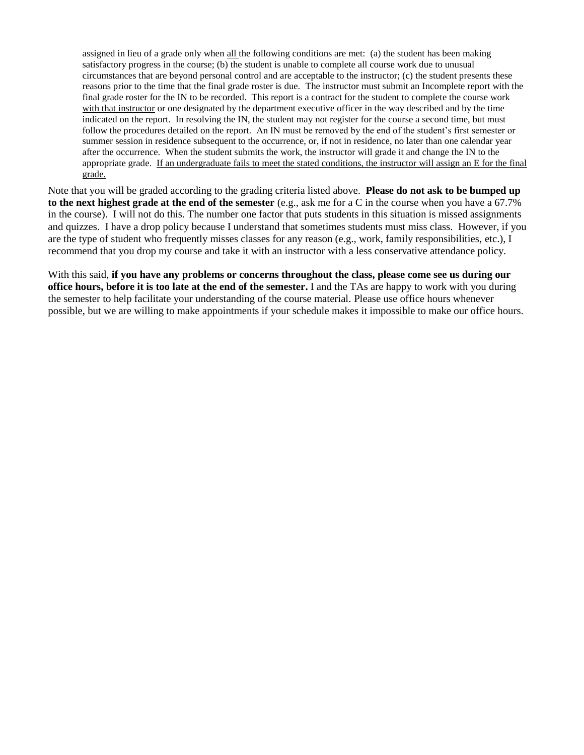assigned in lieu of a grade only when all the following conditions are met: (a) the student has been making satisfactory progress in the course; (b) the student is unable to complete all course work due to unusual circumstances that are beyond personal control and are acceptable to the instructor; (c) the student presents these reasons prior to the time that the final grade roster is due. The instructor must submit an Incomplete report with the final grade roster for the IN to be recorded. This report is a contract for the student to complete the course work with that instructor or one designated by the department executive officer in the way described and by the time indicated on the report. In resolving the IN, the student may not register for the course a second time, but must follow the procedures detailed on the report. An IN must be removed by the end of the student's first semester or summer session in residence subsequent to the occurrence, or, if not in residence, no later than one calendar year after the occurrence. When the student submits the work, the instructor will grade it and change the IN to the appropriate grade. If an undergraduate fails to meet the stated conditions, the instructor will assign an E for the final grade.

Note that you will be graded according to the grading criteria listed above. **Please do not ask to be bumped up to the next highest grade at the end of the semester** (e.g., ask me for a C in the course when you have a 67.7% in the course). I will not do this. The number one factor that puts students in this situation is missed assignments and quizzes. I have a drop policy because I understand that sometimes students must miss class. However, if you are the type of student who frequently misses classes for any reason (e.g., work, family responsibilities, etc.), I recommend that you drop my course and take it with an instructor with a less conservative attendance policy.

With this said, **if you have any problems or concerns throughout the class, please come see us during our office hours, before it is too late at the end of the semester.** I and the TAs are happy to work with you during the semester to help facilitate your understanding of the course material. Please use office hours whenever possible, but we are willing to make appointments if your schedule makes it impossible to make our office hours.